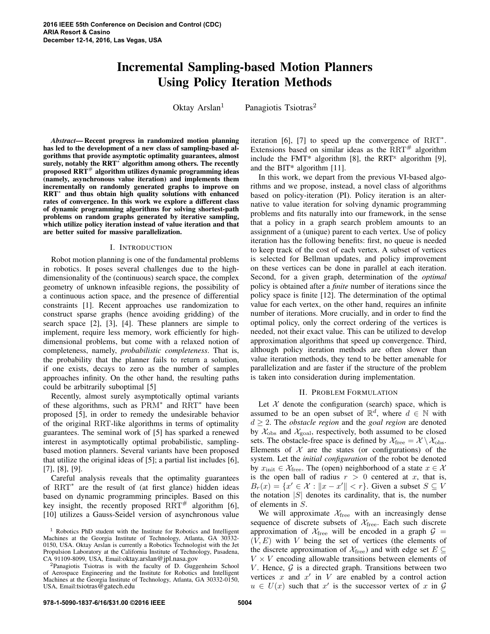# Incremental Sampling-based Motion Planners Using Policy Iteration Methods

Oktay Arslan<sup>1</sup> Panagiotis Tsiotras<sup>2</sup>

*Abstract*— Recent progress in randomized motion planning has led to the development of a new class of sampling-based algorithms that provide asymptotic optimality guarantees, almost surely, notably the RRT<sup>∗</sup> algorithm among others. The recently proposed  $\overline{RRT}^{\#}$  algorithm utilizes dynamic programming ideas (namely, asynchronous value iteration) and implements them incrementally on randomly generated graphs to improve on RRT<sup>∗</sup> and thus obtain high quality solutions with enhanced rates of convergence. In this work we explore a different class of dynamic programming algorithms for solving shortest-path problems on random graphs generated by iterative sampling, which utilize policy iteration instead of value iteration and that are better suited for massive parallelization.

#### I. INTRODUCTION

Robot motion planning is one of the fundamental problems in robotics. It poses several challenges due to the highdimensionality of the (continuous) search space, the complex geometry of unknown infeasible regions, the possibility of a continuous action space, and the presence of differential constraints [1]. Recent approaches use randomization to construct sparse graphs (hence avoiding gridding) of the search space [2], [3], [4]. These planners are simple to implement, require less memory, work efficiently for highdimensional problems, but come with a relaxed notion of completeness, namely, *probabilistic completeness*. That is, the probability that the planner fails to return a solution, if one exists, decays to zero as the number of samples approaches infinity. On the other hand, the resulting paths could be arbitrarily suboptimal [5]

Recently, almost surely asymptotically optimal variants of these algorithms, such as PRM<sup>∗</sup> and RRT<sup>∗</sup> have been proposed [5], in order to remedy the undesirable behavior of the original RRT-like algorithms in terms of optimality guarantees. The seminal work of [5] has sparked a renewed interest in asymptotically optimal probabilistic, samplingbased motion planners. Several variants have been proposed that utilize the original ideas of [5]; a partial list includes [6], [7], [8], [9].

Careful analysis reveals that the optimality guarantees of RRT<sup>∗</sup> are the result of (at first glance) hidden ideas based on dynamic programming principles. Based on this key insight, the recently proposed  $RRT^{\#}$  algorithm [6], [10] utilizes a Gauss-Seidel version of asynchronous value

iteration [6], [7] to speed up the convergence of RRT<sup>∗</sup> . Extensions based on similar ideas as the  $RRT^{\#}$  algorithm include the FMT\* algorithm [8], the RRT<sup>x</sup> algorithm [9], and the BIT\* algorithm [11].

In this work, we depart from the previous VI-based algorithms and we propose, instead, a novel class of algorithms based on policy-iteration (PI). Policy iteration is an alternative to value iteration for solving dynamic programming problems and fits naturally into our framework, in the sense that a policy in a graph search problem amounts to an assignment of a (unique) parent to each vertex. Use of policy iteration has the following benefits: first, no queue is needed to keep track of the cost of each vertex. A subset of vertices is selected for Bellman updates, and policy improvement on these vertices can be done in parallel at each iteration. Second, for a given graph, determination of the *optimal* policy is obtained after a *finite* number of iterations since the policy space is finite [12]. The determination of the optimal value for each vertex, on the other hand, requires an infinite number of iterations. More crucially, and in order to find the optimal policy, only the correct ordering of the vertices is needed, not their exact value. This can be utilized to develop approximation algorithms that speed up convergence. Third, although policy iteration methods are often slower than value iteration methods, they tend to be better amenable for parallelization and are faster if the structure of the problem is taken into consideration during implementation.

#### II. PROBLEM FORMULATION

Let  $X$  denote the configuration (search) space, which is assumed to be an open subset of  $\mathbb{R}^d$ , where  $d \in \mathbb{N}$  with  $d \geq 2$ . The *obstacle region* and the *goal region* are denoted by  $\mathcal{X}_{\text{obs}}$  and  $\mathcal{X}_{\text{goal}}$ , respectively, both assumed to be closed sets. The obstacle-free space is defined by  $\mathcal{X}_{\text{free}} = \mathcal{X} \setminus \mathcal{X}_{\text{obs}}$ . Elements of  $X$  are the states (or configurations) of the system. Let the *initial configuration* of the robot be denoted by  $x_{\text{init}} \in \mathcal{X}_{\text{free}}$ . The (open) neighborhood of a state  $x \in \mathcal{X}$ is the open ball of radius  $r > 0$  centered at x, that is,  $B_r(x) = \{x' \in \mathcal{X} : ||x - x'|| < r\}$ . Given a subset  $S \subseteq V$ the notation  $|S|$  denotes its cardinality, that is, the number of elements in S.

We will approximate  $X_{\text{free}}$  with an increasingly dense sequence of discrete subsets of  $X_{\text{free}}$ . Each such discrete approximation of  $X_{\text{free}}$  will be encoded in a graph  $G =$  $(V, E)$  with V being the set of vertices (the elements of the discrete approximation of  $\mathcal{X}_{\text{free}}$ ) and with edge set  $E \subseteq$  $V \times V$  encoding allowable transitions between elements of V. Hence,  $G$  is a directed graph. Transitions between two vertices  $x$  and  $x'$  in  $V$  are enabled by a control action  $u \in U(x)$  such that x' is the successor vertex of x in G

<sup>1</sup> Robotics PhD student with the Institute for Robotics and Intelligent Machines at the Georgia Institute of Technology, Atlanta, GA 30332- 0150, USA. Oktay Arslan is currently a Robotics Technologist with the Jet Propulsion Laboratory at the California Institute of Technology, Pasadena, CA 91109-8099, USA, Email:oktay.arslan@jpl.nasa.gov

<sup>2</sup>Panagiotis Tsiotras is with the faculty of D. Guggenheim School of Aerospace Engineering and the Institute for Robotics and Intelligent Machines at the Georgia Institute of Technology, Atlanta, GA 30332-0150, USA, Email:tsiotras@gatech.edu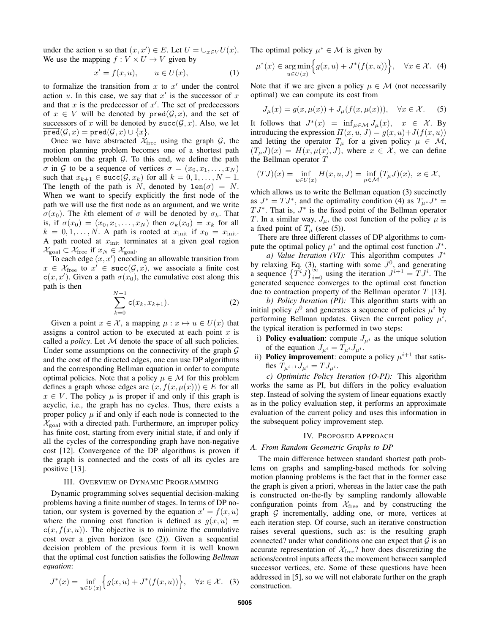under the action u so that  $(x, x') \in E$ . Let  $U = \bigcup_{x \in V} U(x)$ . We use the mapping  $f: V \times U \rightarrow V$  given by

$$
x' = f(x, u), \qquad u \in U(x), \tag{1}
$$

to formalize the transition from  $x$  to  $x'$  under the control action  $u$ . In this case, we say that  $x'$  is the successor of  $x$ and that  $x$  is the predecessor of  $x'$ . The set of predecessors of  $x \in V$  will be denoted by  $pred(G, x)$ , and the set of successors of x will be denoted by  $succ(G, x)$ . Also, we let  $\overline{\text{pred}}(\mathcal{G}, x) = \text{pred}(\mathcal{G}, x) \cup \{x\}.$ 

Once we have abstracted  $\mathcal{X}_{\text{free}}$  using the graph  $\mathcal{G}$ , the motion planning problem becomes one of a shortest path problem on the graph  $G$ . To this end, we define the path  $\sigma$  in G to be a sequence of vertices  $\sigma = (x_0, x_1, \ldots, x_N)$ such that  $x_{k+1} \in \text{succ}(\mathcal{G}, x_k)$  for all  $k = 0, 1, ..., N - 1$ . The length of the path is N, denoted by  $len(\sigma) = N$ . When we want to specify explicitly the first node of the path we will use the first node as an argument, and we write  $\sigma(x_0)$ . The kth element of  $\sigma$  will be denoted by  $\sigma_k$ . That is, if  $\sigma(x_0) = (x_0, x_1, \ldots, x_N)$  then  $\sigma_k(x_0) = x_k$  for all  $k = 0, 1, \ldots, N$ . A path is rooted at  $x_{\text{init}}$  if  $x_0 = x_{\text{init}}$ . A path rooted at  $x_{\text{init}}$  terminates at a given goal region  $\mathcal{X}_{\text{goal}} \subset \mathcal{X}_{\text{free}}$  if  $x_N \in \mathcal{X}_{\text{goal}}$ .

To each edge  $(x, x')$  encoding an allowable transition from  $x \in \mathcal{X}_{\text{free}}$  to  $x' \in \text{succ}(\mathcal{G}, x)$ , we associate a finite cost  $c(x, x')$ . Given a path  $\sigma(x_0)$ , the cumulative cost along this path is then

$$
\sum_{k=0}^{N-1} c(x_k, x_{k+1}).
$$
 (2)

Given a point  $x \in \mathcal{X}$ , a mapping  $\mu : x \mapsto u \in U(x)$  that assigns a control action to be executed at each point  $x$  is called a *policy*. Let M denote the space of all such policies. Under some assumptions on the connectivity of the graph  $\mathcal G$ and the cost of the directed edges, one can use DP algorithms and the corresponding Bellman equation in order to compute optimal policies. Note that a policy  $\mu \in \mathcal{M}$  for this problem defines a graph whose edges are  $(x, f(x, \mu(x))) \in E$  for all  $x \in V$ . The policy  $\mu$  is proper if and only if this graph is acyclic, i.e., the graph has no cycles. Thus, there exists a proper policy  $\mu$  if and only if each node is connected to the  $\mathcal{X}_{\text{goal}}$  with a directed path. Furthermore, an improper policy has finite cost, starting from every initial state, if and only if all the cycles of the corresponding graph have non-negative cost [12]. Convergence of the DP algorithms is proven if the graph is connected and the costs of all its cycles are positive [13].

## III. OVERVIEW OF DYNAMIC PROGRAMMING

Dynamic programming solves sequential decision-making problems having a finite number of stages. In terms of DP notation, our system is governed by the equation  $x' = f(x, u)$ where the running cost function is defined as  $g(x, u)$  =  $c(x, f(x, u))$ . The objective is to minimize the cumulative cost over a given horizon (see (2)). Given a sequential decision problem of the previous form it is well known that the optimal cost function satisfies the following *Bellman equation*:

$$
J^*(x) = \inf_{u \in U(x)} \Big\{ g(x, u) + J^*(f(x, u)) \Big\}, \quad \forall x \in \mathcal{X}.
$$
 (3)

The optimal policy  $\mu^* \in \mathcal{M}$  is given by

$$
\mu^*(x) \in \underset{u \in U(x)}{\arg \min} \Big\{ g(x, u) + J^*(f(x, u)) \Big\}, \quad \forall x \in \mathcal{X}. \tag{4}
$$

Note that if we are given a policy  $\mu \in \mathcal{M}$  (not necessarily optimal) we can compute its cost from

$$
J_{\mu}(x) = g(x, \mu(x)) + J_{\mu}(f(x, \mu(x))), \quad \forall x \in \mathcal{X}.
$$
 (5)

It follows that  $J^*(x) = \inf_{\mu \in \mathcal{M}} J_{\mu}(x)$ ,  $x \in \mathcal{X}$ . By introducing the expression  $H(x, u, J) = g(x, u) + J(f(x, u))$ and letting the operator  $T_{\mu}$  for a given policy  $\mu \in \mathcal{M}$ ,  $(T_\mu J)(x) = H(x, \mu(x), J)$ , where  $x \in \mathcal{X}$ , we can define the Bellman operator T

$$
(TJ)(x)=\inf_{u\in U(x)}H(x,u,J)=\inf_{\mu\in \mathcal{M}}(T_{\mu}J)(x),\,\,x\in \mathcal{X},
$$

which allows us to write the Bellman equation (3) succinctly as  $J^* = TJ^*$ , and the optimality condition (4) as  $T_{\mu^*}J^* =$  $TJ^*$ . That is,  $J^*$  is the fixed point of the Bellman operator T. In a similar way,  $J_{\mu}$ , the cost function of the policy  $\mu$  is a fixed point of  $T_{\mu}$  (see (5)).

There are three different classes of DP algorithms to compute the optimal policy  $\mu^*$  and the optimal cost function  $J^*$ .

*a*) Value Iteration (VI): This algorithm computes  $J^*$ by relaxing Eq. (3), starting with some  $J<sup>0</sup>$ , and generating a sequence  $\left\{T^{i}J\right\}_{i=0}^{\infty}$  using the iteration  $J^{i+1} = TJ^{i}$ . The generated sequence converges to the optimal cost function due to contraction property of the Bellman operator  $T$  [13].

*b) Policy Iteration (PI):* This algorithm starts with an initial policy  $\mu^0$  and generates a sequence of policies  $\mu^i$  by performing Bellman updates. Given the current policy  $\mu^{i}$ , the typical iteration is performed in two steps:

- i) **Policy evaluation**: compute  $J_{\mu^i}$  as the unique solution of the equation  $J_{\mu^i} = T_{\mu^i} J_{\mu^i}$ .
- ii) **Policy improvement**: compute a policy  $\mu^{i+1}$  that satisfies  $T_{\mu^{i+1}} J_{\mu^{i}} = T J_{\mu^{i}}$ .

*c) Optimistic Policy Iteration (O-PI):* This algorithm works the same as PI, but differs in the policy evaluation step. Instead of solving the system of linear equations exactly as in the policy evaluation step, it performs an approximate evaluation of the current policy and uses this information in the subsequent policy improvement step.

#### IV. PROPOSED APPROACH

#### *A. From Random Geometric Graphs to DP*

The main difference between standard shortest path problems on graphs and sampling-based methods for solving motion planning problems is the fact that in the former case the graph is given a priori, whereas in the latter case the path is constructed on-the-fly by sampling randomly allowable configuration points from  $X_{\text{free}}$  and by constructing the graph  $G$  incrementally, adding one, or more, vertices at each iteration step. Of course, such an iterative construction raises several questions, such as: is the resulting graph connected? under what conditions one can expect that  $\mathcal G$  is an accurate representation of  $X_{\text{free}}$ ? how does discretizing the actions/control inputs affects the movement between sampled successor vertices, etc. Some of these questions have been addressed in [5], so we will not elaborate further on the graph construction.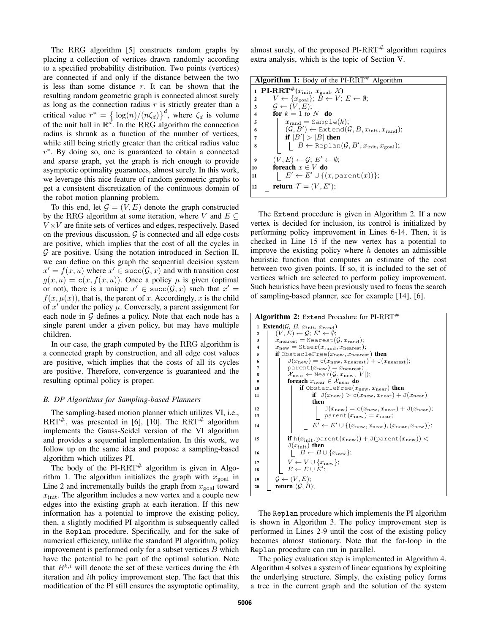The RRG algorithm [5] constructs random graphs by placing a collection of vertices drawn randomly according to a specified probability distribution. Two points (vertices) are connected if and only if the distance between the two is less than some distance  $r$ . It can be shown that the resulting random geometric graph is connected almost surely as long as the connection radius  $r$  is strictly greater than a critical value  $r^* = {\log(n)}/{(n\zeta_d)}^d$ , where  $\zeta_d$  is volume of the unit ball in  $\mathbb{R}^d$ . In the RRG algorithm the connection radius is shrunk as a function of the number of vertices, while still being strictly greater than the critical radius value r ∗ . By doing so, one is guaranteed to obtain a connected and sparse graph, yet the graph is rich enough to provide asymptotic optimality guarantees, almost surely. In this work, we leverage this nice feature of random geometric graphs to get a consistent discretization of the continuous domain of the robot motion planning problem.

To this end, let  $\mathcal{G} = (V, E)$  denote the graph constructed by the RRG algorithm at some iteration, where V and  $E \subseteq$  $V \times V$  are finite sets of vertices and edges, respectively. Based on the previous discussion,  $G$  is connected and all edge costs are positive, which implies that the cost of all the cycles in  $G$  are positive. Using the notation introduced in Section II, we can define on this graph the sequential decision system  $x' = f(x, u)$  where  $x' \in \text{succ}(\mathcal{G}, x)$  and with transition cost  $g(x, u) = c(x, f(x, u))$ . Once a policy  $\mu$  is given (optimal or not), there is a unique  $x' \in succ(G, x)$  such that  $x' =$  $f(x, \mu(x))$ , that is, the parent of x. Accordingly, x is the child of  $x'$  under the policy  $\mu$ . Conversely, a parent assignment for each node in  $G$  defines a policy. Note that each node has a single parent under a given policy, but may have multiple children.

In our case, the graph computed by the RRG algorithm is a connected graph by construction, and all edge cost values are positive, which implies that the costs of all its cycles are positive. Therefore, convergence is guaranteed and the resulting optimal policy is proper.

#### *B. DP Algorithms for Sampling-based Planners*

The sampling-based motion planner which utilizes VI, i.e., RRT<sup>#</sup>, was presented in [6], [10]. The RRT<sup>#</sup> algorithm implements the Gauss-Seidel version of the VI algorithm and provides a sequential implementation. In this work, we follow up on the same idea and propose a sampling-based algorithm which utilizes PI.

The body of the PI-RRT<sup>#</sup> algorithm is given in Algorithm 1. The algorithm initializes the graph with  $x_{\text{goal}}$  in Line 2 and incrementally builds the graph from  $x_{\text{goal}}$  toward  $x<sub>init</sub>$ . The algorithm includes a new vertex and a couple new edges into the existing graph at each iteration. If this new information has a potential to improve the existing policy, then, a slightly modified PI algorithm is subsequently called in the Replan procedure. Specifically, and for the sake of numerical efficiency, unlike the standard PI algorithm, policy improvement is performed only for a subset vertices  $B$  which have the potential to be part of the optimal solution. Note that  $B^{k,i}$  will denote the set of these vertices during the kth iteration and ith policy improvement step. The fact that this modification of the PI still ensures the asymptotic optimality, almost surely, of the proposed  $PI-RRT^{\#}$  algorithm requires extra analysis, which is the topic of Section V.

| <b>Algorithm 1:</b> Body of the PI-RRT <sup>#</sup> Algorithm                                      |  |
|----------------------------------------------------------------------------------------------------|--|
| 1 PI-RRT <sup>#</sup> $(x_{\text{init}}, x_{\text{goal}}, \chi)$                                   |  |
| $V \leftarrow \{x_{\text{goal}}\}; \ B \leftarrow V; E \leftarrow \emptyset;$<br>$\overline{2}$    |  |
| $\mathcal{G} \leftarrow (V, E);$<br>3                                                              |  |
| for $k = 1$ to N do<br>$\boldsymbol{4}$                                                            |  |
| $x_{\text{rand}} =$ Sample $(k)$ ;<br>5                                                            |  |
| $(\mathcal{G}, B') \leftarrow$ Extend $(\mathcal{G}, B, x_{\text{init}}, x_{\text{rand}})$ ;<br>6  |  |
| if $ B'  >  B $ then<br>7                                                                          |  |
| $\vert B \leftarrow \text{Replan}(\mathcal{G}, B', x_{\text{init}}, x_{\text{goal}});$<br>$\bf{8}$ |  |
|                                                                                                    |  |
| $(V, E) \leftarrow \mathcal{G}; E' \leftarrow \emptyset;$<br>$\boldsymbol{Q}$                      |  |
| foreach $x \in V$ do<br>10                                                                         |  |
| $E' \leftarrow E' \cup \{(x, \text{parent}(x))\};$<br>11                                           |  |
| return $\mathcal{T} = (V, E')$ ;<br>12                                                             |  |

The Extend procedure is given in Algorithm 2. If a new vertex is decided for inclusion, its control is initialized by performing policy improvement in Lines 6-14. Then, it is checked in Line 15 if the new vertex has a potential to improve the existing policy where  $h$  denotes an admissible heuristic function that computes an estimate of the cost between two given points. If so, it is included to the set of vertices which are selected to perform policy improvement. Such heuristics have been previously used to focus the search of sampling-based planner, see for example [14], [6].

| Algorithm 2: Extend Procedure for PI-RRT#                                     |                                                                                                           |  |  |
|-------------------------------------------------------------------------------|-----------------------------------------------------------------------------------------------------------|--|--|
| <b>Extend</b> ( $\mathcal{G}$ , $B$ , $x_{\text{init}}$ , $x_{\text{rand}}$ ) |                                                                                                           |  |  |
| $\overline{2}$                                                                | $(V, E) \leftarrow \mathcal{G}$ ; $E' \leftarrow \emptyset$ ;                                             |  |  |
| 3                                                                             | $x_{\text{nearest}} = \text{Nearest}(\mathcal{G}, x_{\text{rand}});$                                      |  |  |
| $\overline{\mathbf{4}}$                                                       | $x_{\text{new}} = \text{Steer}(x_{\text{rand}}, x_{\text{nearest}});$                                     |  |  |
| if ObstacleFree( $x_{\text{new}}, x_{\text{nearest}}$ ) then<br>5             |                                                                                                           |  |  |
| 6                                                                             | $J(x_{\text{new}}) = c(x_{\text{new}}, x_{\text{nearest}}) + J(x_{\text{nearest}});$                      |  |  |
| 7                                                                             | $\text{parent}(x_{\text{new}}) = x_{\text{nearest}};$                                                     |  |  |
| 8                                                                             | $\mathcal{X}_{\text{near}} \leftarrow \text{Near}(\mathcal{G}, x_{\text{new}},  V );$                     |  |  |
| $\boldsymbol{9}$                                                              | foreach $x_{\text{near}} \in \mathcal{X}_{\text{near}}$ do                                                |  |  |
| 10                                                                            | <b>if</b> ObstacleFree( $x_{\text{new}}, x_{\text{near}}$ ) then                                          |  |  |
| 11                                                                            | if $J(x_{\text{new}}) > c(x_{\text{new}}, x_{\text{near}}) + J(x_{\text{near}})$<br>then                  |  |  |
| 12                                                                            | $\mathbb{J}(x_{\text{new}}) = \mathbb{c}(x_{\text{new}}, x_{\text{near}}) + \mathbb{J}(x_{\text{near}});$ |  |  |
| 13                                                                            | $\text{parent}(x_{\text{new}}) = x_{\text{near}};$                                                        |  |  |
| 14                                                                            | $E' \leftarrow E' \cup \{(x_{\text{new}}, x_{\text{near}}), (x_{\text{near}}, x_{\text{new}})\};$         |  |  |
| 15                                                                            | <b>if</b> $h(x_{init},$ parent $(x_{new}))$ + J(parent $(x_{new}))$ ) <                                   |  |  |
|                                                                               | $J(x_{\text{init}})$ then                                                                                 |  |  |
| 16                                                                            | $B \leftarrow B \cup \{x_{\text{new}}\};$                                                                 |  |  |
| 17                                                                            | $V \leftarrow V \cup \{x_{\text{new}}\};$                                                                 |  |  |
| 18                                                                            | $E \leftarrow E \cup E'$ :                                                                                |  |  |
|                                                                               |                                                                                                           |  |  |
| 19                                                                            | $G \leftarrow (V, E)$ :                                                                                   |  |  |
| <b>return</b> $(\mathcal{G}, B)$ ;<br>20                                      |                                                                                                           |  |  |

The Replan procedure which implements the PI algorithm is shown in Algorithm 3. The policy improvement step is performed in Lines 2-9 until the cost of the existing policy becomes almost stationary. Note that the for-loop in the Replan procedure can run in parallel.

The policy evaluation step is implemented in Algorithm 4. Algorithm 4 solves a system of linear equations by exploiting the underlying structure. Simply, the existing policy forms a tree in the current graph and the solution of the system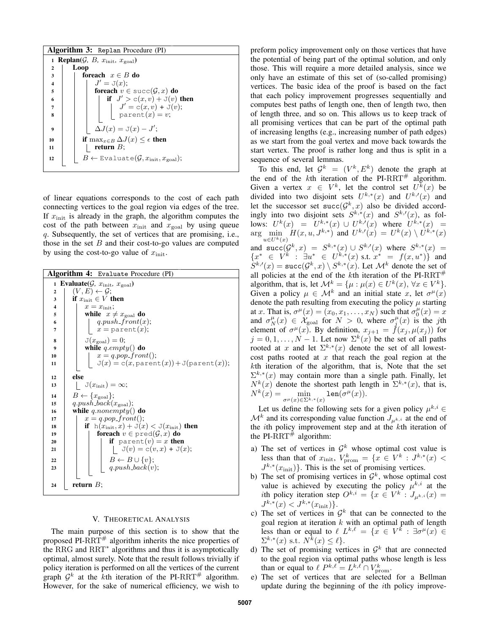|                         | <b>Algorithm 3:</b> Replan Procedure (PI)                                   |  |
|-------------------------|-----------------------------------------------------------------------------|--|
|                         | 1 <b>Replan</b> $(\mathcal{G}, B, x_{\text{init}}, x_{\text{goal}})$        |  |
| $\overline{2}$          | Loop                                                                        |  |
| 3                       | foreach $x \in B$ do                                                        |  |
| $\overline{\mathbf{4}}$ | $J'=\mathrm{J}(x);$                                                         |  |
| 5                       | foreach $v \in \text{succ}(\mathcal{G}, x)$ do                              |  |
| 6                       | if $J' > c(x, v) + J(v)$ then                                               |  |
| 7                       | $J' = c(x, v) + J(v);$ parent(x) = v;                                       |  |
| 8                       |                                                                             |  |
|                         |                                                                             |  |
| 9                       | $\Delta J(x) = \mathbb{J}(x) - J';$                                         |  |
| 10                      | if $\max_{x \in B} \Delta J(x) \leq \epsilon$ then                          |  |
| 11                      | return $B$ ;                                                                |  |
| 12                      | $B \leftarrow$ Evaluate( $\mathcal{G}, x_{\text{init}}, x_{\text{goal}}$ ); |  |
|                         |                                                                             |  |

of linear equations corresponds to the cost of each path connecting vertices to the goal region via edges of the tree. If  $x_{\text{init}}$  is already in the graph, the algorithm computes the cost of the path between  $x_{\text{init}}$  and  $x_{\text{goal}}$  by using queue q. Subsequently, the set of vertices that are promising, i.e., those in the set  $B$  and their cost-to-go values are computed by using the cost-to-go value of  $x_{\text{init}}$ .

| Algorithm 4: Evaluate Procedure (PI)                                |                                                                         |  |
|---------------------------------------------------------------------|-------------------------------------------------------------------------|--|
| 1 Evaluate( $\mathcal{G}$ , $x_{\text{init}}$ , $x_{\text{goal}}$ ) |                                                                         |  |
| $\mathbf{2}$                                                        | $(V, E) \leftarrow \mathcal{G}$ ;                                       |  |
| 3                                                                   | if $x_{\text{init}} \in V$ then                                         |  |
| $\overline{4}$                                                      | $x=x_{\text{init}};$                                                    |  |
| 5                                                                   | while $x \neq x_{\text{goal}}$ do                                       |  |
| 6                                                                   | $q.push\_front(x);$                                                     |  |
| $\overline{7}$                                                      | $x =$ parent(x);                                                        |  |
| 8                                                                   | $J(x_{\text{goal}}) = 0;$                                               |  |
| 9                                                                   | while q.empty() do                                                      |  |
| 10                                                                  | $x = q.pop\_front()$ ;                                                  |  |
| 11                                                                  | $J(x) = c(x, \text{parent}(x)) + J(\text{parent}(x));$                  |  |
| 12                                                                  | else                                                                    |  |
| 13                                                                  | $J(x_{\text{init}}) = \infty;$                                          |  |
|                                                                     |                                                                         |  |
| 14                                                                  | $B \leftarrow \{x_{\text{goal}}\};$                                     |  |
| 15                                                                  | $q.push-back(x_{goal});$                                                |  |
| 16                                                                  | while q.nonempty() do                                                   |  |
| 17<br>18                                                            | $x = q.pop\_front()$ ;<br>if $h(x_{init}, x) + J(x) < J(x_{init})$ then |  |
| 19                                                                  | <b>foreach</b> $v \in \text{pred}(\mathcal{G}, x)$ <b>do</b>            |  |
| 20                                                                  | if parent(v) = x then                                                   |  |
| 21                                                                  | $J(v) = c(v, x) + J(x);$                                                |  |
|                                                                     |                                                                         |  |
| 22                                                                  | $B \leftarrow B \cup \{v\};$                                            |  |
| 23                                                                  | $q.push-back(v);$                                                       |  |
|                                                                     |                                                                         |  |
| 24                                                                  | return $B$ ;                                                            |  |

#### V. THEORETICAL ANALYSIS

The main purpose of this section is to show that the proposed  $PI-RRT^{\#}$  algorithm inherits the nice properties of the RRG and RRT<sup>∗</sup> algorithms and thus it is asymptotically optimal, almost surely. Note that the result follows trivially if policy iteration is performed on all the vertices of the current graph  $\mathcal{G}^k$  at the kth iteration of the PI-RRT<sup>#</sup> algorithm. However, for the sake of numerical efficiency, we wish to

preform policy improvement only on those vertices that have the potential of being part of the optimal solution, and only those. This will require a more detailed analysis, since we only have an estimate of this set of (so-called promising) vertices. The basic idea of the proof is based on the fact that each policy improvement progresses sequentially and computes best paths of length one, then of length two, then of length three, and so on. This allows us to keep track of all promising vertices that can be part of the optimal path of increasing lengths (e.g., increasing number of path edges) as we start from the goal vertex and move back towards the start vertex. The proof is rather long and thus is split in a sequence of several lemmas.

To this end, let  $\mathcal{G}^k = (V^k, E^k)$  denote the graph at the end of the kth iteration of the PI-RRT<sup>#</sup> algorithm. Given a vertex  $x \in V^k$ , let the control set  $U^k(x)$  be divided into two disjoint sets  $U^{k,*}(x)$  and  $U^{k,\prime}(x)$  and let the successor set  $succ(\mathcal{G}^k, x)$  also be divided accordingly into two disjoint sets  $S^{k,*}(x)$  and  $S^{k,\prime}(x)$ , as follows:  $U^k(x) = U^{k,*}(x) \cup U^{k,'}(x)$  where  $U^{k,*}(x) =$  $\arg \min_{u \in U^k(x)} H(x, u, J^{k,*})$  and  $U^{k,\ell}(x) = U^k(x) \setminus U^{k,*}(x)$ and  $succ(\mathcal{G}^k, x) = S^{k,*}(x) \cup S^{k,\prime}(x)$  where  $S^{k,*}(x) =$  ${x^* \in V^k : \exists u^* \in U^{k,*}(x) \text{ s.t. } x^* = f(x, u^*)}$  and  $\dot{S}^{k,\prime}(x) = \texttt{succ}(\mathcal{G}^k, x) \setminus S^{k,*}(x)$ . Let  $\mathcal{M}^k$  denote the set of all policies at the end of the kth iteration of the PI-RRT<sup>#</sup> algorithm, that is, let  $\mathcal{M}^k = \{ \mu : \mu(x) \in U^k(x), \forall x \in V^k \}.$ Given a policy  $\mu \in \mathcal{M}^k$  and an initial state x, let  $\sigma^{\mu}(x)$ denote the path resulting from executing the policy  $\mu$  starting at x. That is,  $\sigma^{\mu}(x) = (x_0, x_1, \dots, x_N)$  such that  $\sigma_0^{\mu}(x) = x$ and  $\sigma_N^{\mu}(x) \in \mathcal{X}_{\text{goal}}$  for  $N > 0$ , where  $\sigma_j^{\mu}(x)$  is the jth element of  $\sigma^{\mu}(x)$ . By definition,  $x_{j+1} = f(x_j, \mu(x_j))$  for  $j = 0, 1, \ldots, N - 1$ . Let now  $\Sigma^{k}(x)$  be the set of all paths rooted at x and let  $\Sigma^{k,*}(x)$  denote the set of all lowestcost paths rooted at  $x$  that reach the goal region at the kth iteration of the algorithm, that is, Note that the set  $\Sigma^{k,*}(x)$  may contain more than a single path. Finally, let  $N^k(x)$  denote the shortest path length in  $\Sigma^{k,*}(x)$ , that is,  $N^k(x) = \min_{\sigma^\mu(x) \in \Sigma^{k,*}(x)} \texttt{len}(\sigma^\mu(x)).$ 

Let us define the following sets for a given policy  $\mu^{k,i} \in$  $\mathcal{M}^k$  and its corresponding value function  $J_{\mu^{k,i}}$  at the end of the ith policy improvement step and at the kth iteration of the PI-RRT<sup>#</sup> algorithm:

- a) The set of vertices in  $\mathcal{G}^k$  whose optimal cost value is less than that of  $x_{\text{init}}, V^k_{\text{prom}} = \{x \in V^k : J^{k,*}(x)$  $J^{k,*}(x_{\text{init}})$ . This is the set of promising vertices.
- b) The set of promising vertices in  $\mathcal{G}^k$ , whose optimal cost value is achieved by executing the policy  $\mu^{k,i}$  at the ith policy iteration step  $O^{k,i} = \{x \in V^k : J_{\mu^{k,i}}(x) =$  $J^{k,*}(x) < J^{k,*}(x_{\text{init}})$ .
- c) The set of vertices in  $\mathcal{G}^k$  that can be connected to the goal region at iteration  $k$  with an optimal path of length less than or equal to  $\ell$   $L^{k,\ell} = \{x \in V^k : \exists \sigma^\mu(x) \in$  $\Sigma^{k,*}(x)$  s.t.  $N^k(x) \leq \ell$ .
- d) The set of promising vertices in  $\mathcal{G}^k$  that are connected to the goal region via optimal paths whose length is less than or equal to  $\ell \ P^{k,\ell} = L^{k,\ell} \cap V^k_{\text{prom}}$ .
- e) The set of vertices that are selected for a Bellman update during the beginning of the ith policy improve-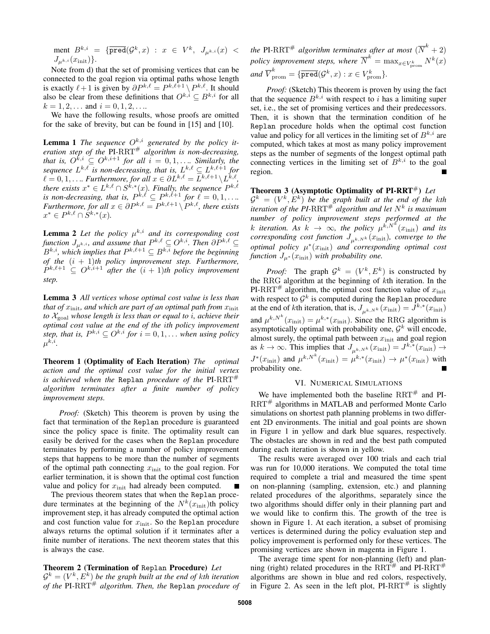$$
\begin{array}{lcl} \mbox{ment} \ B^{k,i} = \{ \overline{\texttt{pred}}({\mathcal G}^k, x) : x \in V^k, \ J_{\mu^{k,i}}(x) < \\ J_{\mu^{k,i}}(x_{\rm init}) \}. \end{array}
$$

Note from d) that the set of promising vertices that can be connected to the goal region via optimal paths whose length is exactly  $\ell + 1$  is given by  $\partial P^{k,\ell} = P^{k,\ell+1} \setminus P^{k,\ell}$ . It should also be clear from these definitions that  $O^{k,i} \subset B^{k,i}$  for all  $k = 1, 2, \dots$  and  $i = 0, 1, 2, \dots$ 

We have the following results, whose proofs are omitted for the sake of brevity, but can be found in [15] and [10].

**Lemma 1** The sequence  $O^{k,i}$  generated by the policy it*eration step of the* PI*-*RRT# *algorithm is non-decreasing, that is,*  $O^{k,i} \subseteq O^{k,i+1}$  *for all*  $i = 0,1,...$  *Similarly, the* sequence  $L^{k,\ell}$  is non-decreasing, that is,  $L^{k,\ell} \subseteq L^{k,\ell+1}$  for  $\ell = 0, 1, \ldots$  *Furthermore, for all*  $x \in \partial L^{k,\ell} = L^{k,\ell+1} \backslash L^{k,\ell}$ , there exists  $x^* \in L^{k,\ell} \cap S^{k,*}(x)$ . Finally, the sequence  $P^{k,\ell}$ *is non-decreasing, that is,*  $P^{k,\ell} \subseteq P^{k,\ell+1}$  *for*  $\ell = 0, 1, \ldots$ *. Furthermore, for all*  $x \in \partial P^{k,\ell} = P^{k,\ell+1} \setminus P^{k,\ell}$ , there exists  $x^* \in P^{k,\ell} \cap S^{k,*}(x)$ .

**Lemma 2** Let the policy  $\mu^{k,i}$  and its corresponding cost *function*  $J_{\mu^{k,i}}$ *, and assume that*  $P^{k,\ell} \subseteq O^{k,i}$ *. Then*  $\partial P^{k,\ell} \subseteq$  $B^{k,i}$ , which implies that  $P^{k,\ell+1} \subseteq B^{k,i}$  before the beginning *of the* (i + 1)*th policy improvement step. Furthermore,*  $P^{k,\ell+1} \subseteq O^{k,i+1}$  after the  $(i + 1)$ th policy improvement *step.*

Lemma 3 *All vertices whose optimal cost value is less than that of*  $x_{\text{init}}$ *, and which are part of an optimal path from*  $x_{\text{init}}$ *to* Xgoal *whose length is less than or equal to* i*, achieve their optimal cost value at the end of the* i*th policy improvement* step, that is,  $P^{k,i} \subseteq O^{k,i}$  for  $i = 0, 1, \ldots$  when using policy  $\mu^{k,i}.$ 

Theorem 1 (Optimality of Each Iteration) *The optimal action and the optimal cost value for the initial vertex is achieved when the* Replan *procedure of the* PI*-*RRT# *algorithm terminates after a finite number of policy improvement steps.*

*Proof:* (Sketch) This theorem is proven by using the fact that termination of the Replan procedure is guaranteed since the policy space is finite. The optimality result can easily be derived for the cases when the Replan procedure terminates by performing a number of policy improvement steps that happens to be more than the number of segments of the optimal path connecting  $x_{\text{init}}$  to the goal region. For earlier termination, it is shown that the optimal cost function value and policy for  $x_{\text{init}}$  had already been computed.

The previous theorem states that when the Replan procedure terminates at the beginning of the  $N^k(x_{\text{init}})$ th policy improvement step, it has already computed the optimal action and cost function value for  $x_{\text{init}}$ . So the Replan procedure always returns the optimal solution if it terminates after a finite number of iterations. The next theorem states that this is always the case.

# Theorem 2 (Termination of Replan Procedure) *Let*  $\mathcal{G}^k = (V^k, E^k)$  be the graph built at the end of kth iteration *of the* PI*-*RRT# *algorithm. Then, the* Replan *procedure of*

the PI-RRT<sup>#</sup> algorithm terminates after at most  $(\overline{N}^k + 2)$ policy improvement steps, where  $\overline{N}^k = \max_{x \in V_{\text{prom}}^k} N^k(x)$  $and \ \overline{V}_{\text{prom}}^k = \{ \overline{\text{pred}}(\mathcal{G}^k, x) : x \in V_{\text{prom}}^k \}.$ 

*Proof:* (Sketch) This theorem is proven by using the fact that the sequence  $B^{k,i}$  with respect to i has a limiting super set, i.e., the set of promising vertices and their predecessors. Then, it is shown that the termination condition of he Replan procedure holds when the optimal cost function value and policy for all vertices in the limiting set of  $B^{k,i}$  are computed, which takes at most as many policy improvement steps as the number of segments of the longest optimal path connecting vertices in the limiting set of  $B^{k,i}$  to the goal region.

Theorem 3 (Asymptotic Optimality of PI-RRT<sup>#</sup>) Let  $\mathcal{G}^k = (V^k, E^k)$  be the graph built at the end of the kth *iteration of the PI-RRT*<sup>#</sup> *algorithm and let*  $N^k$  *is maximum number of policy improvement steps performed at the* k iteration. As  $k \to \infty$ , the policy  $\mu^{\hat{k},N^{\hat{k}}} (x_{\text{init}})$  and its  $corresponding\ cost\ function\ J_{\mu^{k,N^k}}(x_{\text{init}})$ *, converge to the optimal policy* µ ∗ (xinit) *and corresponding optimal cost function*  $J_{\mu^*}(x_{\text{init}})$  *with probability one.* 

*Proof:* The graph  $\mathcal{G}^k = (V^k, E^k)$  is constructed by the RRG algorithm at the beginning of  $k$ th iteration. In the PI-RRT<sup>#</sup> algorithm, the optimal cost function value of  $x_{\text{init}}$ with respect to  $\mathcal{G}^k$  is computed during the Replan procedure at the end of *k*th iteration, that is,  $J_{\mu^{k,N^k}}(x_{\text{init}}) = J^{k,*}(x_{\text{init}})$ and  $\mu^{k,N^k}(x_{\text{init}}) = \mu^{k,*}(x_{\text{init}})$ . Since the RRG algorithm is asymptotically optimal with probability one,  $\mathcal{G}^k$  will encode, almost surely, the optimal path between  $x_{\text{init}}$  and goal region as  $k \to \infty$ . This implies that  $J_{\mu^{k,Nk}}(x_{\text{init}}) = J^{k,*}(x_{\text{init}}) \to$  $J^*(x_{\text{init}})$  and  $\mu^{k,N^k}(x_{\text{init}}) = \mu^{k,*}(x_{\text{init}}) \rightarrow \mu^*(x_{\text{init}})$  with probability one.

## VI. NUMERICAL SIMULATIONS

We have implemented both the baseline  $RRT^{\#}$  and PI-RRT<sup>#</sup> algorithms in MATLAB and performed Monte Carlo simulations on shortest path planning problems in two different 2D environments. The initial and goal points are shown in Figure 1 in yellow and dark blue squares, respectively. The obstacles are shown in red and the best path computed during each iteration is shown in yellow.

The results were averaged over 100 trials and each trial was run for 10,000 iterations. We computed the total time required to complete a trial and measured the time spent on non-planning (sampling, extension, etc.) and planning related procedures of the algorithms, separately since the two algorithms should differ only in their planning part and we would like to confirm this. The growth of the tree is shown in Figure 1. At each iteration, a subset of promising vertices is determined during the policy evaluation step and policy improvement is performed only for these vertices. The promising vertices are shown in magenta in Figure 1.

The average time spent for non-planning (left) and planning (right) related procedures in the  $RRT^{\#}$  and PI-RRT<sup>#</sup> algorithms are shown in blue and red colors, respectively, in Figure 2. As seen in the left plot,  $PI-RRT^{\#}$  is slightly